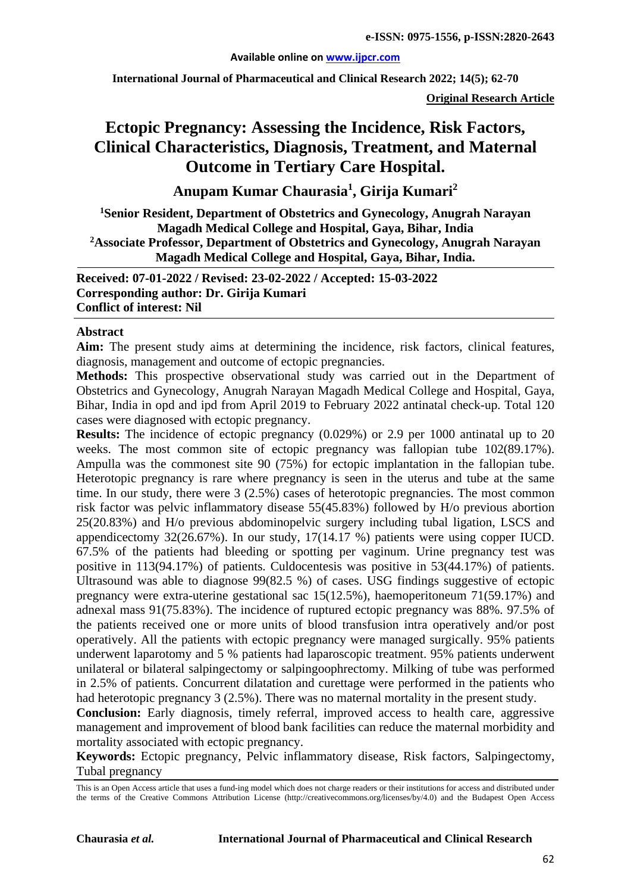#### **Available online on [www.ijpcr.com](http://www.ijpcr.com/)**

**International Journal of Pharmaceutical and Clinical Research 2022; 14(5); 62-70**

**Original Research Article**

# **Ectopic Pregnancy: Assessing the Incidence, Risk Factors, Clinical Characteristics, Diagnosis, Treatment, and Maternal Outcome in Tertiary Care Hospital.**

**Anupam Kumar Chaurasia1 , Girija Kumari<sup>2</sup>**

**1 Senior Resident, Department of Obstetrics and Gynecology, Anugrah Narayan Magadh Medical College and Hospital, Gaya, Bihar, India 2Associate Professor, Department of Obstetrics and Gynecology, Anugrah Narayan Magadh Medical College and Hospital, Gaya, Bihar, India.**

**Received: 07-01-2022 / Revised: 23-02-2022 / Accepted: 15-03-2022 Corresponding author: Dr. Girija Kumari Conflict of interest: Nil**

#### **Abstract**

**Aim:** The present study aims at determining the incidence, risk factors, clinical features, diagnosis, management and outcome of ectopic pregnancies.

**Methods:** This prospective observational study was carried out in the Department of Obstetrics and Gynecology, Anugrah Narayan Magadh Medical College and Hospital, Gaya, Bihar, India in opd and ipd from April 2019 to February 2022 antinatal check-up. Total 120 cases were diagnosed with ectopic pregnancy.

**Results:** The incidence of ectopic pregnancy (0.029%) or 2.9 per 1000 antinatal up to 20 weeks. The most common site of ectopic pregnancy was fallopian tube 102(89.17%). Ampulla was the commonest site 90 (75%) for ectopic implantation in the fallopian tube. Heterotopic pregnancy is rare where pregnancy is seen in the uterus and tube at the same time. In our study, there were 3 (2.5%) cases of heterotopic pregnancies. The most common risk factor was pelvic inflammatory disease 55(45.83%) followed by H/o previous abortion 25(20.83%) and H/o previous abdominopelvic surgery including tubal ligation, LSCS and appendicectomy 32(26.67%). In our study, 17(14.17 %) patients were using copper IUCD. 67.5% of the patients had bleeding or spotting per vaginum. Urine pregnancy test was positive in 113(94.17%) of patients. Culdocentesis was positive in 53(44.17%) of patients. Ultrasound was able to diagnose 99(82.5 %) of cases. USG findings suggestive of ectopic pregnancy were extra-uterine gestational sac 15(12.5%), haemoperitoneum 71(59.17%) and adnexal mass 91(75.83%). The incidence of ruptured ectopic pregnancy was 88%. 97.5% of the patients received one or more units of blood transfusion intra operatively and/or post operatively. All the patients with ectopic pregnancy were managed surgically. 95% patients underwent laparotomy and 5 % patients had laparoscopic treatment. 95% patients underwent unilateral or bilateral salpingectomy or salpingoophrectomy. Milking of tube was performed in 2.5% of patients. Concurrent dilatation and curettage were performed in the patients who had heterotopic pregnancy 3 (2.5%). There was no maternal mortality in the present study.

**Conclusion:** Early diagnosis, timely referral, improved access to health care, aggressive management and improvement of blood bank facilities can reduce the maternal morbidity and mortality associated with ectopic pregnancy.

**Keywords:** Ectopic pregnancy, Pelvic inflammatory disease, Risk factors, Salpingectomy, Tubal pregnancy

This is an Open Access article that uses a fund-ing model which does not charge readers or their institutions for access and distributed under the terms of the Creative Commons Attribution License (http://creativecommons.org/licenses/by/4.0) and the Budapest Open Access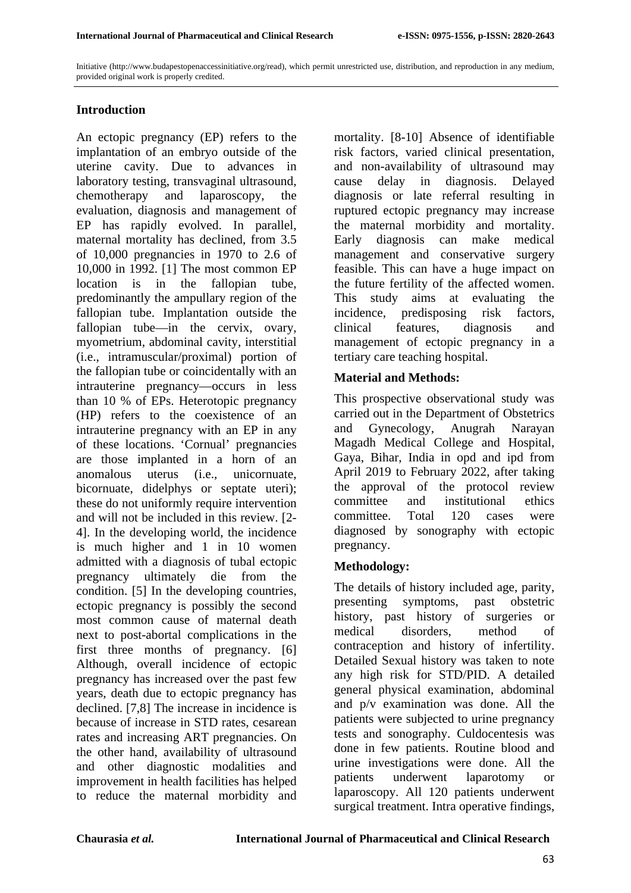Initiative (http://www.budapestopenaccessinitiative.org/read), which permit unrestricted use, distribution, and reproduction in any medium, provided original work is properly credited.

# **Introduction**

An ectopic pregnancy (EP) refers to the implantation of an embryo outside of the uterine cavity. Due to advances in laboratory testing, transvaginal ultrasound, chemotherapy and laparoscopy, the evaluation, diagnosis and management of EP has rapidly evolved. In parallel, maternal mortality has declined, from 3.5 of 10,000 pregnancies in 1970 to 2.6 of 10,000 in 1992. [1] The most common EP location is in the fallopian tube, predominantly the ampullary region of the fallopian tube. Implantation outside the fallopian tube—in the cervix, ovary, myometrium, abdominal cavity, interstitial (i.e., intramuscular/proximal) portion of the fallopian tube or coincidentally with an intrauterine pregnancy—occurs in less than 10 % of EPs. Heterotopic pregnancy (HP) refers to the coexistence of an intrauterine pregnancy with an EP in any of these locations. 'Cornual' pregnancies are those implanted in a horn of an anomalous uterus (i.e., unicornuate, bicornuate, didelphys or septate uteri); these do not uniformly require intervention and will not be included in this review. [2- 4]. In the developing world, the incidence is much higher and 1 in 10 women admitted with a diagnosis of tubal ectopic pregnancy ultimately die from the condition. [5] In the developing countries, ectopic pregnancy is possibly the second most common cause of maternal death next to post-abortal complications in the first three months of pregnancy. [6] Although, overall incidence of ectopic pregnancy has increased over the past few years, death due to ectopic pregnancy has declined. [7,8] The increase in incidence is because of increase in STD rates, cesarean rates and increasing ART pregnancies. On the other hand, availability of ultrasound and other diagnostic modalities and improvement in health facilities has helped to reduce the maternal morbidity and

mortality. [8-10] Absence of identifiable risk factors, varied clinical presentation, and non-availability of ultrasound may cause delay in diagnosis. Delayed diagnosis or late referral resulting in ruptured ectopic pregnancy may increase the maternal morbidity and mortality. Early diagnosis can make medical management and conservative surgery feasible. This can have a huge impact on the future fertility of the affected women. This study aims at evaluating the incidence, predisposing risk factors, clinical features, diagnosis and management of ectopic pregnancy in a tertiary care teaching hospital.

## **Material and Methods:**

This prospective observational study was carried out in the Department of Obstetrics and Gynecology, Anugrah Narayan Magadh Medical College and Hospital, Gaya, Bihar, India in opd and ipd from April 2019 to February 2022, after taking the approval of the protocol review committee and institutional ethics committee. Total 120 cases were diagnosed by sonography with ectopic pregnancy.

#### **Methodology:**

The details of history included age, parity, presenting symptoms, past obstetric history, past history of surgeries or medical disorders, method of contraception and history of infertility. Detailed Sexual history was taken to note any high risk for STD/PID. A detailed general physical examination, abdominal and p/v examination was done. All the patients were subjected to urine pregnancy tests and sonography. Culdocentesis was done in few patients. Routine blood and urine investigations were done. All the patients underwent laparotomy or laparoscopy. All 120 patients underwent surgical treatment. Intra operative findings,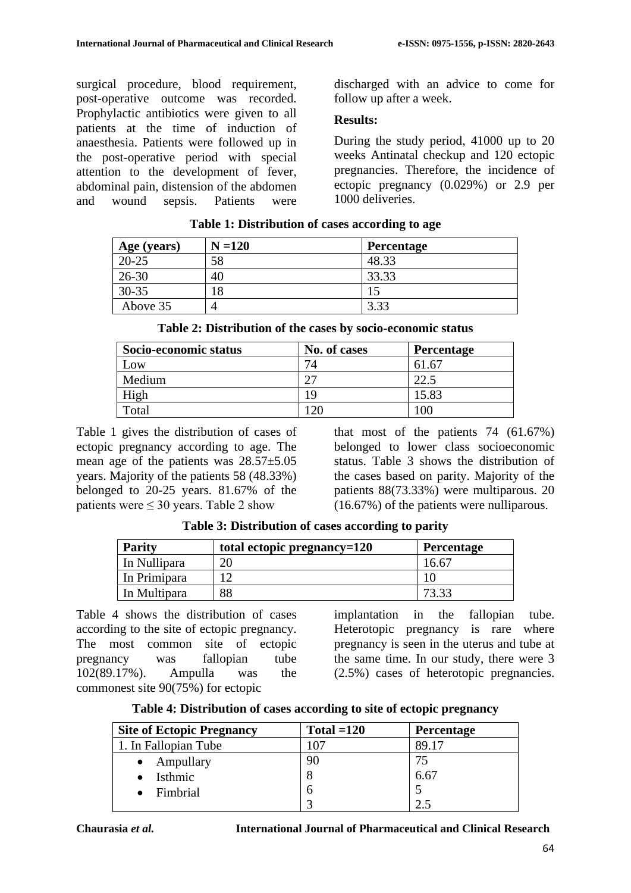surgical procedure, blood requirement, post-operative outcome was recorded. Prophylactic antibiotics were given to all patients at the time of induction of anaesthesia. Patients were followed up in the post-operative period with special attention to the development of fever, abdominal pain, distension of the abdomen and wound sepsis. Patients were discharged with an advice to come for follow up after a week.

## **Results:**

During the study period, 41000 up to 20 weeks Antinatal checkup and 120 ectopic pregnancies. Therefore, the incidence of ectopic pregnancy (0.029%) or 2.9 per 1000 deliveries.

| Age (years) | $N = 120$ | <b>Percentage</b> |
|-------------|-----------|-------------------|
| $20 - 25$   | 58        | 48.33             |
| $26 - 30$   | 40        | 33.33             |
| $30 - 35$   |           | 15                |
| Above 35    | $\angle$  | 3.33              |

## **Table 1: Distribution of cases according to age**

| Socio-economic status | No. of cases | <b>Percentage</b> |
|-----------------------|--------------|-------------------|
| Low                   | 74           | 61.67             |
| Medium                | クワ           | 22.5              |
| High                  | 19           | 15.83             |
| Total                 | 120          | 00                |

Table 1 gives the distribution of cases of ectopic pregnancy according to age. The mean age of the patients was 28.57±5.05 years. Majority of the patients 58 (48.33%) belonged to 20-25 years. 81.67% of the patients were ≤ 30 years. Table 2 show

that most of the patients 74 (61.67%) belonged to lower class socioeconomic status. Table 3 shows the distribution of the cases based on parity. Majority of the patients 88(73.33%) were multiparous. 20 (16.67%) of the patients were nulliparous.

| <b>Parity</b> | total ectopic pregnancy=120 | Percentage     |
|---------------|-----------------------------|----------------|
| In Nullipara  | $\gamma$                    | $16.6^{\circ}$ |
| In Primipara  |                             |                |
| In Multipara  | 88                          | 73.33          |

**Table 3: Distribution of cases according to parity**

Table 4 shows the distribution of cases according to the site of ectopic pregnancy. The most common site of ectopic pregnancy was fallopian tube 102(89.17%). Ampulla was the commonest site 90(75%) for ectopic

implantation in the fallopian tube. Heterotopic pregnancy is rare where pregnancy is seen in the uterus and tube at the same time. In our study, there were 3 (2.5%) cases of heterotopic pregnancies.

| Table 4: Distribution of cases according to site of ectopic pregnancy |  |  |  |  |
|-----------------------------------------------------------------------|--|--|--|--|
|-----------------------------------------------------------------------|--|--|--|--|

| <b>Site of Ectopic Pregnancy</b> | Total $=120$ | <b>Percentage</b> |
|----------------------------------|--------------|-------------------|
| 1. In Fallopian Tube             | -07          | 89.17             |
| $\bullet$ Ampullary              | 90           | 75                |
| Isthmic                          | 8            | 6.67              |
| Fimbrial                         | O            |                   |
|                                  |              |                   |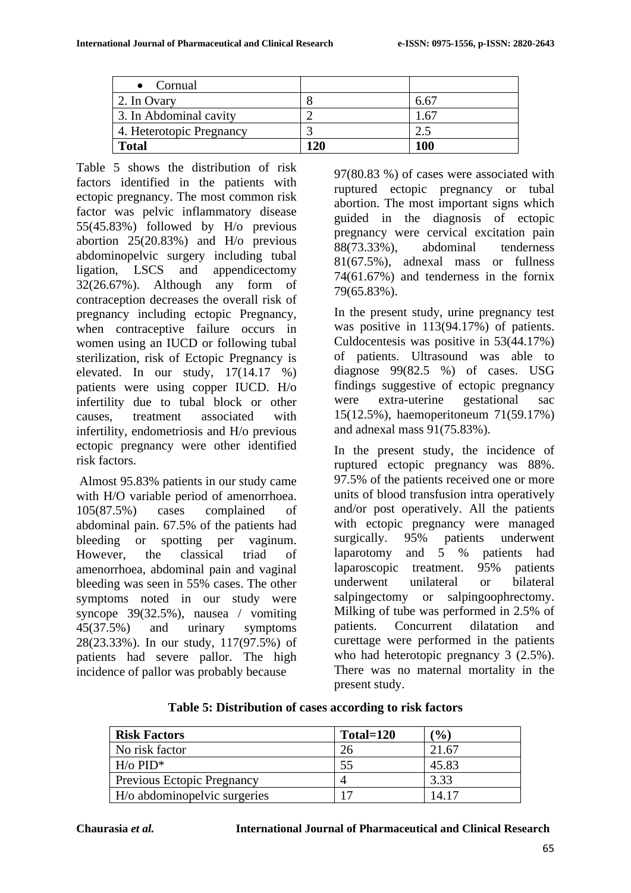| $\bullet$ Cornual        |     |              |
|--------------------------|-----|--------------|
| 2. In Ovary              |     | 6.6          |
| 3. In Abdominal cavity   |     | $.6^{\circ}$ |
| 4. Heterotopic Pregnancy |     |              |
| <b>Total</b>             | 120 | <b>100</b>   |

Table 5 shows the distribution of risk factors identified in the patients with ectopic pregnancy. The most common risk factor was pelvic inflammatory disease 55(45.83%) followed by H/o previous abortion 25(20.83%) and H/o previous abdominopelvic surgery including tubal ligation, LSCS and appendicectomy 32(26.67%). Although any form of contraception decreases the overall risk of pregnancy including ectopic Pregnancy, when contraceptive failure occurs in women using an IUCD or following tubal sterilization, risk of Ectopic Pregnancy is elevated. In our study, 17(14.17 %) patients were using copper IUCD. H/o infertility due to tubal block or other causes, treatment associated with infertility, endometriosis and H/o previous ectopic pregnancy were other identified risk factors.

Almost 95.83% patients in our study came with H/O variable period of amenorrhoea. 105(87.5%) cases complained of abdominal pain. 67.5% of the patients had bleeding or spotting per vaginum. However, the classical triad of amenorrhoea, abdominal pain and vaginal bleeding was seen in 55% cases. The other symptoms noted in our study were syncope 39(32.5%), nausea / vomiting 45(37.5%) and urinary symptoms 28(23.33%). In our study, 117(97.5%) of patients had severe pallor. The high incidence of pallor was probably because

97(80.83 %) of cases were associated with ruptured ectopic pregnancy or tubal abortion. The most important signs which guided in the diagnosis of ectopic pregnancy were cervical excitation pain 88(73.33%), abdominal tenderness 81(67.5%), adnexal mass or fullness 74(61.67%) and tenderness in the fornix 79(65.83%).

In the present study, urine pregnancy test was positive in 113(94.17%) of patients. Culdocentesis was positive in 53(44.17%) of patients. Ultrasound was able to diagnose  $99(82.5 \%)$  of cases. USG findings suggestive of ectopic pregnancy were extra-uterine gestational sac 15(12.5%), haemoperitoneum 71(59.17%) and adnexal mass 91(75.83%).

In the present study, the incidence of ruptured ectopic pregnancy was 88%. 97.5% of the patients received one or more units of blood transfusion intra operatively and/or post operatively. All the patients with ectopic pregnancy were managed surgically. 95% patients underwent laparotomy and 5 % patients had laparoscopic treatment. 95% patients underwent unilateral or bilateral salpingectomy or salpingoophrectomy. Milking of tube was performed in 2.5% of patients. Concurrent dilatation and curettage were performed in the patients who had heterotopic pregnancy 3 (2.5%). There was no maternal mortality in the present study.

| Table 5: Distribution of cases according to risk factors |            |     |  |
|----------------------------------------------------------|------------|-----|--|
| Factors                                                  | $Tota=120$ | (0) |  |

| <b>Risk Factors</b>               | Total=120 | $\frac{1}{2}$ |
|-----------------------------------|-----------|---------------|
| No risk factor                    | 26        | 21.67         |
| $H$ /0 PID <sup>*</sup>           | 55        | 45.83         |
| <b>Previous Ectopic Pregnancy</b> |           | 3.33          |
| H/o abdominopelvic surgeries      |           | 14.17         |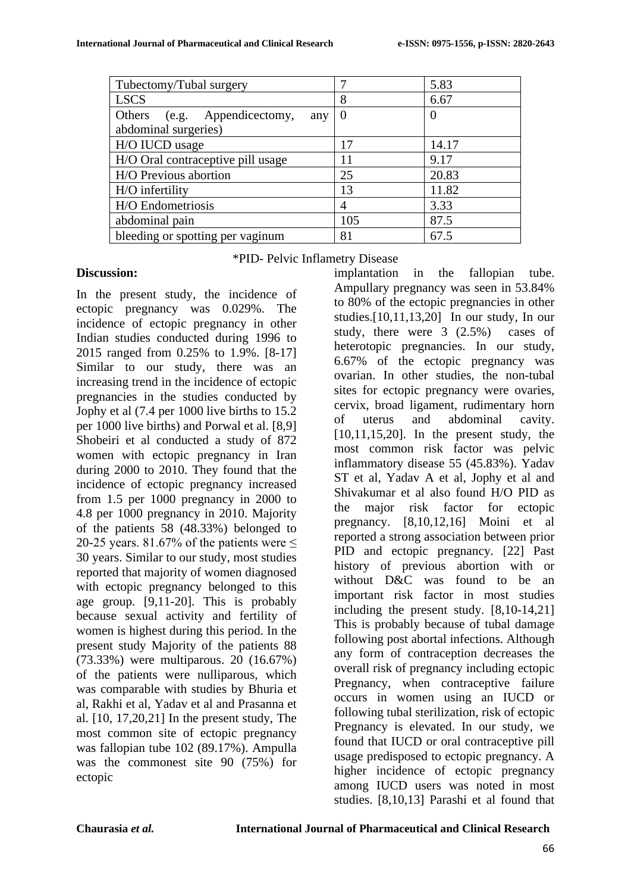| Tubectomy/Tubal surgery                                     |                | 5.83     |
|-------------------------------------------------------------|----------------|----------|
| <b>LSCS</b>                                                 | 8              | 6.67     |
| Others (e.g. Appendicectomy,<br>any<br>abdominal surgeries) | $\overline{0}$ | $\theta$ |
| H/O IUCD usage                                              | 17             | 14.17    |
| H/O Oral contraceptive pill usage                           | 11             | 9.17     |
| H/O Previous abortion                                       | 25             | 20.83    |
| H/O infertility                                             | 13             | 11.82    |
| H/O Endometriosis                                           | 4              | 3.33     |
| abdominal pain                                              | 105            | 87.5     |
| bleeding or spotting per vaginum                            | 81             | 67.5     |

\*PID- Pelvic Inflametry Disease

# **Discussion:**

In the present study, the incidence of ectopic pregnancy was 0.029%. The incidence of ectopic pregnancy in other Indian studies conducted during 1996 to 2015 ranged from 0.25% to 1.9%. [8-17] Similar to our study, there was an increasing trend in the incidence of ectopic pregnancies in the studies conducted by Jophy et al (7.4 per 1000 live births to 15.2 per 1000 live births) and Porwal et al. [8,9] Shobeiri et al conducted a study of 872 women with ectopic pregnancy in Iran during 2000 to 2010. They found that the incidence of ectopic pregnancy increased from 1.5 per 1000 pregnancy in 2000 to 4.8 per 1000 pregnancy in 2010. Majority of the patients 58 (48.33%) belonged to 20-25 years. 81.67% of the patients were  $\le$ 30 years. Similar to our study, most studies reported that majority of women diagnosed with ectopic pregnancy belonged to this age group. [9,11-20]. This is probably because sexual activity and fertility of women is highest during this period. In the present study Majority of the patients 88 (73.33%) were multiparous. 20 (16.67%) of the patients were nulliparous, which was comparable with studies by Bhuria et al, Rakhi et al, Yadav et al and Prasanna et al. [10, 17,20,21] In the present study, The most common site of ectopic pregnancy was fallopian tube 102 (89.17%). Ampulla was the commonest site 90 (75%) for ectopic

implantation in the fallopian tube. Ampullary pregnancy was seen in 53.84% to 80% of the ectopic pregnancies in other studies.[10,11,13,20] In our study, In our study, there were 3 (2.5%) cases of heterotopic pregnancies. In our study, 6.67% of the ectopic pregnancy was ovarian. In other studies, the non-tubal sites for ectopic pregnancy were ovaries, cervix, broad ligament, rudimentary horn of uterus and abdominal cavity. [10,11,15,20]. In the present study, the most common risk factor was pelvic inflammatory disease 55 (45.83%). Yadav ST et al, Yadav A et al, Jophy et al and Shivakumar et al also found H/O PID as the major risk factor for ectopic pregnancy. [8,10,12,16] Moini et al reported a strong association between prior PID and ectopic pregnancy. [22] Past history of previous abortion with or without D&C was found to be an important risk factor in most studies including the present study. [8,10-14,21] This is probably because of tubal damage following post abortal infections. Although any form of contraception decreases the overall risk of pregnancy including ectopic Pregnancy, when contraceptive failure occurs in women using an IUCD or following tubal sterilization, risk of ectopic Pregnancy is elevated. In our study, we found that IUCD or oral contraceptive pill usage predisposed to ectopic pregnancy. A higher incidence of ectopic pregnancy among IUCD users was noted in most studies. [8,10,13] Parashi et al found that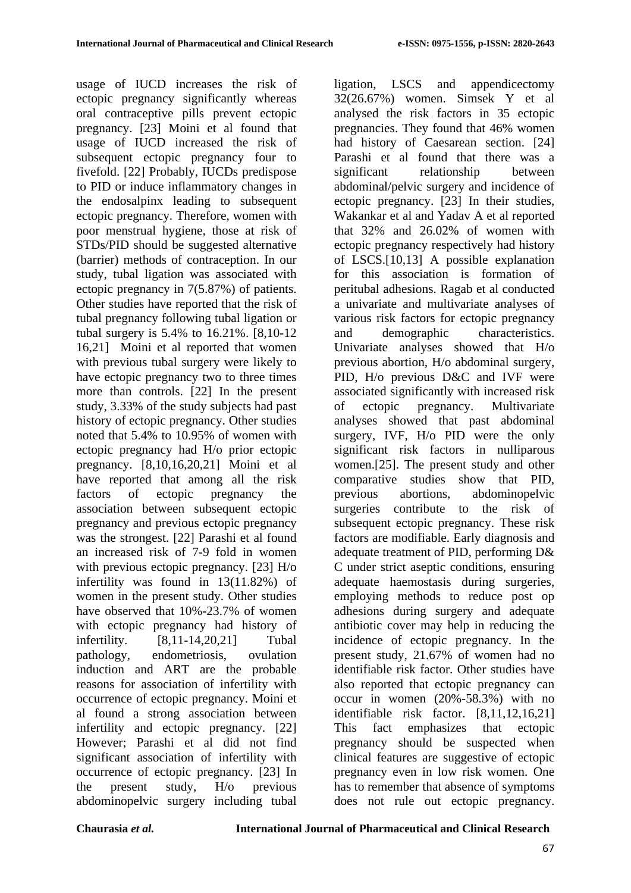usage of IUCD increases the risk of ectopic pregnancy significantly whereas oral contraceptive pills prevent ectopic pregnancy. [23] Moini et al found that usage of IUCD increased the risk of subsequent ectopic pregnancy four to fivefold. [22] Probably, IUCDs predispose to PID or induce inflammatory changes in the endosalpinx leading to subsequent ectopic pregnancy. Therefore, women with poor menstrual hygiene, those at risk of STDs/PID should be suggested alternative (barrier) methods of contraception. In our study, tubal ligation was associated with ectopic pregnancy in 7(5.87%) of patients. Other studies have reported that the risk of tubal pregnancy following tubal ligation or tubal surgery is 5.4% to 16.21%. [8,10-12 16,21] Moini et al reported that women with previous tubal surgery were likely to have ectopic pregnancy two to three times more than controls. [22] In the present study, 3.33% of the study subjects had past history of ectopic pregnancy. Other studies noted that 5.4% to 10.95% of women with ectopic pregnancy had H/o prior ectopic pregnancy. [8,10,16,20,21] Moini et al have reported that among all the risk factors of ectopic pregnancy the association between subsequent ectopic pregnancy and previous ectopic pregnancy was the strongest. [22] Parashi et al found an increased risk of 7-9 fold in women with previous ectopic pregnancy. [23] H/o infertility was found in 13(11.82%) of women in the present study. Other studies have observed that 10%-23.7% of women with ectopic pregnancy had history of infertility. [8,11-14,20,21] Tubal pathology, endometriosis, ovulation induction and ART are the probable reasons for association of infertility with occurrence of ectopic pregnancy. Moini et al found a strong association between infertility and ectopic pregnancy. [22] However; Parashi et al did not find significant association of infertility with occurrence of ectopic pregnancy. [23] In the present study, H/o previous abdominopelvic surgery including tubal

ligation, LSCS and appendicectomy 32(26.67%) women. Simsek Y et al analysed the risk factors in 35 ectopic pregnancies. They found that 46% women had history of Caesarean section. [24] Parashi et al found that there was a significant relationship between abdominal/pelvic surgery and incidence of ectopic pregnancy. [23] In their studies, Wakankar et al and Yadav A et al reported that 32% and 26.02% of women with ectopic pregnancy respectively had history of LSCS.[10,13] A possible explanation for this association is formation of peritubal adhesions. Ragab et al conducted a univariate and multivariate analyses of various risk factors for ectopic pregnancy and demographic characteristics. Univariate analyses showed that H/o previous abortion, H/o abdominal surgery, PID, H/o previous D&C and IVF were associated significantly with increased risk of ectopic pregnancy. Multivariate analyses showed that past abdominal surgery, IVF, H/o PID were the only significant risk factors in nulliparous women.[25]. The present study and other comparative studies show that PID, previous abortions, abdominopelvic surgeries contribute to the risk of subsequent ectopic pregnancy. These risk factors are modifiable. Early diagnosis and adequate treatment of PID, performing D& C under strict aseptic conditions, ensuring adequate haemostasis during surgeries, employing methods to reduce post op adhesions during surgery and adequate antibiotic cover may help in reducing the incidence of ectopic pregnancy. In the present study, 21.67% of women had no identifiable risk factor. Other studies have also reported that ectopic pregnancy can occur in women (20%-58.3%) with no identifiable risk factor. [8,11,12,16,21] This fact emphasizes that ectopic pregnancy should be suspected when clinical features are suggestive of ectopic pregnancy even in low risk women. One has to remember that absence of symptoms does not rule out ectopic pregnancy.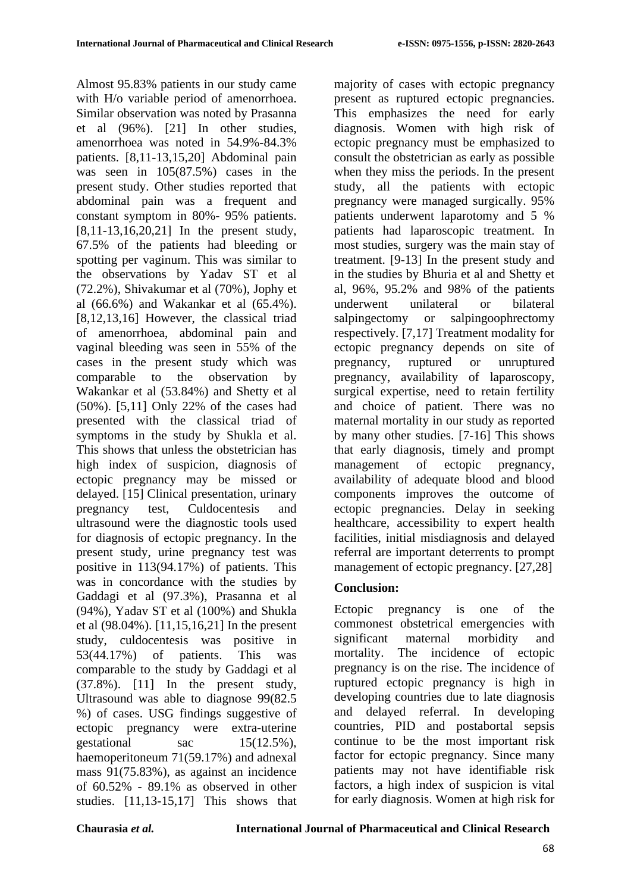Almost 95.83% patients in our study came with H/o variable period of amenorrhoea. Similar observation was noted by Prasanna et al (96%). [21] In other studies, amenorrhoea was noted in 54.9%-84.3% patients. [8,11-13,15,20] Abdominal pain was seen in 105(87.5%) cases in the present study. Other studies reported that abdominal pain was a frequent and constant symptom in 80%- 95% patients. [8,11-13,16,20,21] In the present study, 67.5% of the patients had bleeding or spotting per vaginum. This was similar to the observations by Yadav ST et al (72.2%), Shivakumar et al (70%), Jophy et al (66.6%) and Wakankar et al (65.4%). [8,12,13,16] However, the classical triad of amenorrhoea, abdominal pain and vaginal bleeding was seen in 55% of the cases in the present study which was comparable to the observation by Wakankar et al (53.84%) and Shetty et al (50%). [5,11] Only 22% of the cases had presented with the classical triad of symptoms in the study by Shukla et al. This shows that unless the obstetrician has high index of suspicion, diagnosis of ectopic pregnancy may be missed or delayed. [15] Clinical presentation, urinary pregnancy test, Culdocentesis and ultrasound were the diagnostic tools used for diagnosis of ectopic pregnancy. In the present study, urine pregnancy test was positive in 113(94.17%) of patients. This was in concordance with the studies by Gaddagi et al (97.3%), Prasanna et al (94%), Yadav ST et al (100%) and Shukla et al (98.04%). [11,15,16,21] In the present study, culdocentesis was positive in 53(44.17%) of patients. This was comparable to the study by Gaddagi et al (37.8%). [11] In the present study, Ultrasound was able to diagnose 99(82.5 %) of cases. USG findings suggestive of ectopic pregnancy were extra-uterine gestational sac 15(12.5%), haemoperitoneum 71(59.17%) and adnexal mass 91(75.83%), as against an incidence of 60.52% - 89.1% as observed in other studies. [11,13-15,17] This shows that

majority of cases with ectopic pregnancy present as ruptured ectopic pregnancies. This emphasizes the need for early diagnosis. Women with high risk of ectopic pregnancy must be emphasized to consult the obstetrician as early as possible when they miss the periods. In the present study, all the patients with ectopic pregnancy were managed surgically. 95% patients underwent laparotomy and 5 % patients had laparoscopic treatment. In most studies, surgery was the main stay of treatment. [9-13] In the present study and in the studies by Bhuria et al and Shetty et al, 96%, 95.2% and 98% of the patients underwent unilateral or bilateral salpingectomy or salpingoophrectomy respectively. [7,17] Treatment modality for ectopic pregnancy depends on site of pregnancy, ruptured or unruptured pregnancy, availability of laparoscopy, surgical expertise, need to retain fertility and choice of patient. There was no maternal mortality in our study as reported by many other studies. [7-16] This shows that early diagnosis, timely and prompt management of ectopic pregnancy, availability of adequate blood and blood components improves the outcome of ectopic pregnancies. Delay in seeking healthcare, accessibility to expert health facilities, initial misdiagnosis and delayed referral are important deterrents to prompt management of ectopic pregnancy. [27,28]

# **Conclusion:**

Ectopic pregnancy is one of the commonest obstetrical emergencies with significant maternal morbidity and mortality. The incidence of ectopic pregnancy is on the rise. The incidence of ruptured ectopic pregnancy is high in developing countries due to late diagnosis and delayed referral. In developing countries, PID and postabortal sepsis continue to be the most important risk factor for ectopic pregnancy. Since many patients may not have identifiable risk factors, a high index of suspicion is vital for early diagnosis. Women at high risk for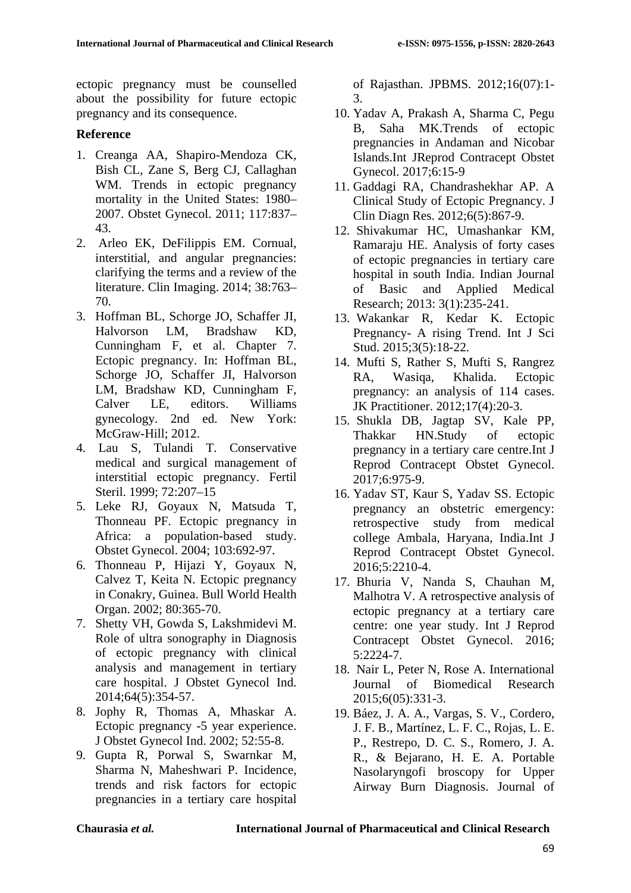ectopic pregnancy must be counselled about the possibility for future ectopic pregnancy and its consequence.

## **Reference**

- 1. Creanga AA, Shapiro-Mendoza CK, Bish CL, Zane S, Berg CJ, Callaghan WM. Trends in ectopic pregnancy mortality in the United States: 1980– 2007. Obstet Gynecol. 2011; 117:837– 43.
- 2. Arleo EK, DeFilippis EM. Cornual, interstitial, and angular pregnancies: clarifying the terms and a review of the literature. Clin Imaging. 2014; 38:763– 70.
- 3. Hoffman BL, Schorge JO, Schaffer JI, Halvorson LM, Bradshaw KD, Cunningham F, et al. Chapter 7. Ectopic pregnancy. In: Hoffman BL, Schorge JO, Schaffer JI, Halvorson LM, Bradshaw KD, Cunningham F, Calver LE, editors. Williams gynecology. 2nd ed. New York: McGraw-Hill; 2012.
- 4. Lau S, Tulandi T. Conservative medical and surgical management of interstitial ectopic pregnancy. Fertil Steril. 1999; 72:207–15
- 5. Leke RJ, Goyaux N, Matsuda T, Thonneau PF. Ectopic pregnancy in Africa: a population-based study. Obstet Gynecol. 2004; 103:692-97.
- 6. Thonneau P, Hijazi Y, Goyaux N, Calvez T, Keita N. Ectopic pregnancy in Conakry, Guinea. Bull World Health Organ. 2002; 80:365-70.
- 7. Shetty VH, Gowda S, Lakshmidevi M. Role of ultra sonography in Diagnosis of ectopic pregnancy with clinical analysis and management in tertiary care hospital. J Obstet Gynecol Ind. 2014;64(5):354-57.
- 8. Jophy R, Thomas A, Mhaskar A. Ectopic pregnancy -5 year experience. J Obstet Gynecol Ind. 2002; 52:55-8.
- 9. Gupta R, Porwal S, Swarnkar M, Sharma N, Maheshwari P. Incidence, trends and risk factors for ectopic pregnancies in a tertiary care hospital

of Rajasthan. JPBMS. 2012;16(07):1- 3.

- 10. Yadav A, Prakash A, Sharma C, Pegu B, Saha MK.Trends of ectopic pregnancies in Andaman and Nicobar Islands.Int JReprod Contracept Obstet Gynecol. 2017;6:15-9
- 11. Gaddagi RA, Chandrashekhar AP. A Clinical Study of Ectopic Pregnancy. J Clin Diagn Res. 2012;6(5):867-9.
- 12. Shivakumar HC, Umashankar KM, Ramaraju HE. Analysis of forty cases of ectopic pregnancies in tertiary care hospital in south India. Indian Journal of Basic and Applied Medical Research; 2013: 3(1):235-241.
- 13. Wakankar R, Kedar K. Ectopic Pregnancy- A rising Trend. Int J Sci Stud. 2015;3(5):18-22.
- 14. Mufti S, Rather S, Mufti S, Rangrez RA, Wasiqa, Khalida. Ectopic pregnancy: an analysis of 114 cases. JK Practitioner. 2012;17(4):20-3.
- 15. Shukla DB, Jagtap SV, Kale PP, Thakkar HN.Study of ectopic pregnancy in a tertiary care centre.Int J Reprod Contracept Obstet Gynecol. 2017;6:975-9.
- 16. Yadav ST, Kaur S, Yadav SS. Ectopic pregnancy an obstetric emergency: retrospective study from medical college Ambala, Haryana, India.Int J Reprod Contracept Obstet Gynecol. 2016;5:2210-4.
- 17. Bhuria V, Nanda S, Chauhan M, Malhotra V. A retrospective analysis of ectopic pregnancy at a tertiary care centre: one year study. Int J Reprod Contracept Obstet Gynecol. 2016; 5:2224-7.
- 18. Nair L, Peter N, Rose A. International Journal of Biomedical Research 2015;6(05):331-3.
- 19. Báez, J. A. A., Vargas, S. V., Cordero, J. F. B., Martínez, L. F. C., Rojas, L. E. P., Restrepo, D. C. S., Romero, J. A. R., & Bejarano, H. E. A. Portable Nasolaryngofi broscopy for Upper Airway Burn Diagnosis. Journal of